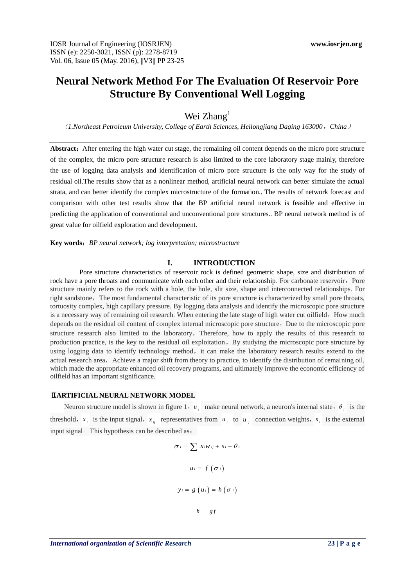# **Neural Network Method For The Evaluation Of Reservoir Pore Structure By Conventional Well Logging**

Wei Zhang<sup>1</sup>

(*1.Northeast Petroleum University, College of Earth Sciences, Heilongjiang Daqing 163000*,*China*)

Abstract: After entering the high water cut stage, the remaining oil content depends on the micro pore structure of the complex, the micro pore structure research is also limited to the core laboratory stage mainly, therefore the use of logging data analysis and identification of micro pore structure is the only way for the study of residual oil.The results show that as a nonlinear method, artificial neural network can better simulate the actual strata, and can better identify the complex microstructure of the formation.. The results of network forecast and comparison with other test results show that the BP artificial neural network is feasible and effective in predicting the application of conventional and unconventional pore structures.. BP neural network method is of great value for oilfield exploration and development.

**Key words**:*BP neural network; log interpretation; microstructure*

#### **I. INTRODUCTION**

Pore structure characteristics of reservoir rock is defined geometric shape, size and distribution of rock have a pore throats and communicate with each other and their relationship. For carbonate reservoir, Pore structure mainly refers to the rock with a hole, the hole, slit size, shape and interconnected relationships. For tight sandstone, The most fundamental characteristic of its pore structure is characterized by small pore throats, tortuosity complex, high capillary pressure. By logging data analysis and identify the microscopic pore structure is a necessary way of remaining oil research. When entering the late stage of high water cut oilfield, How much depends on the residual oil content of complex internal microscopic pore structure, Due to the microscopic pore structure research also limited to the laboratory, Therefore, how to apply the results of this research to production practice, is the key to the residual oil exploitation。By studying the microscopic pore structure by using logging data to identify technology method, it can make the laboratory research results extend to the actual research area, Achieve a major shift from theory to practice, to identify the distribution of remaining oil, which made the appropriate enhanced oil recovery programs, and ultimately improve the economic efficiency of oilfield has an important significance.

#### Ⅱ**.ARTIFICIAL NEURAL NETWORK MODEL**

Neuron structure model is shown in figure 1,  $u_i$  make neural network, a neuron's internal state,  $\theta_i$  is the threshold,  $x_i$  is the input signal,  $x_{ij}$  representatives from  $u_i$  to  $u_j$  connection weights,  $s_i$  is the external input signal。This hypothesis can be described as:

$$
\sigma_i = \sum x_i w_{ij} + s_i - \theta_i
$$
  

$$
u_i = f(\sigma_i)
$$
  

$$
y_i = g(u_i) = h(\sigma_i)
$$
  

$$
h = gf
$$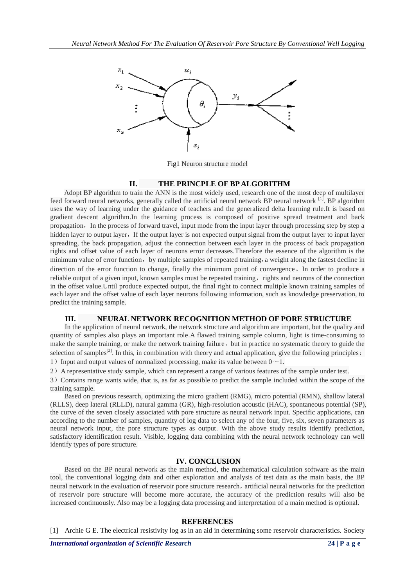

Fig1 Neuron structure model

## **II. THE PRINCPLE OF BP ALGORITHM**

Adopt BP algorithm to train the ANN is the most widely used, research one of the most deep of multilayer feed forward neural networks, generally called the artificial neural network BP neural network <sup>[1]</sup>. BP algorithm uses the way of learning under the guidance of teachers and the generalized delta learning rule.It is based on gradient descent algorithm.In the learning process is composed of positive spread treatment and back propagation. In the process of forward travel, input mode from the input layer through processing step by step a hidden layer to output layer. If the output layer is not expected output signal from the output layer to input layer spreading, the back propagation, adjust the connection between each layer in the process of back propagation rights and offset value of each layer of neurons error decreases.Therefore the essence of the algorithm is the minimum value of error function, by multiple samples of repeated training, a weight along the fastest decline in direction of the error function to change, finally the minimum point of convergence。In order to produce a reliable output of a given input, known samples must be repeated training, rights and neurons of the connection in the offset value.Until produce expected output, the final right to connect multiple known training samples of each layer and the offset value of each layer neurons following information, such as knowledge preservation, to predict the training sample.

## **III. NEURAL NETWORK RECOGNITION METHOD OF PORE STRUCTURE**

In the application of neural network, the network structure and algorithm are important, but the quality and quantity of samples also plays an important role.A flawed training sample column, light is time-consuming to make the sample training, or make the network training failure, but in practice no systematic theory to guide the selection of samples<sup>[2]</sup>. In this, in combination with theory and actual application, give the following principles: 1) Input and output values of normalized processing, make its value between  $0 \sim 1$ .

2) A representative study sample, which can represent a range of various features of the sample under test.

3) Contains range wants wide, that is, as far as possible to predict the sample included within the scope of the training sample.

Based on previous research, optimizing the micro gradient (RMG), micro potential (RMN), shallow lateral (RLLS), deep lateral (RLLD), natural gamma (GR), high-resolution acoustic (HAC), spontaneous potential (SP), the curve of the seven closely associated with pore structure as neural network input. Specific applications, can according to the number of samples, quantity of log data to select any of the four, five, six, seven parameters as neural network input, the pore structure types as output. With the above study results identify prediction, satisfactory identification result. Visible, logging data combining with the neural network technology can well identify types of pore structure.

## **IV. CONCLUSION**

Based on the BP neural network as the main method, the mathematical calculation software as the main tool, the conventional logging data and other exploration and analysis of test data as the main basis, the BP neural network in the evaluation of reservoir pore structure research, artificial neural networks for the prediction of reservoir pore structure will become more accurate, the accuracy of the prediction results will also be increased continuously. Also may be a logging data processing and interpretation of a main method is optional.

## **REFERENCES**

[1] Archie G E. The electrical resistivity log as in an aid in determining some reservoir characteristics. Society